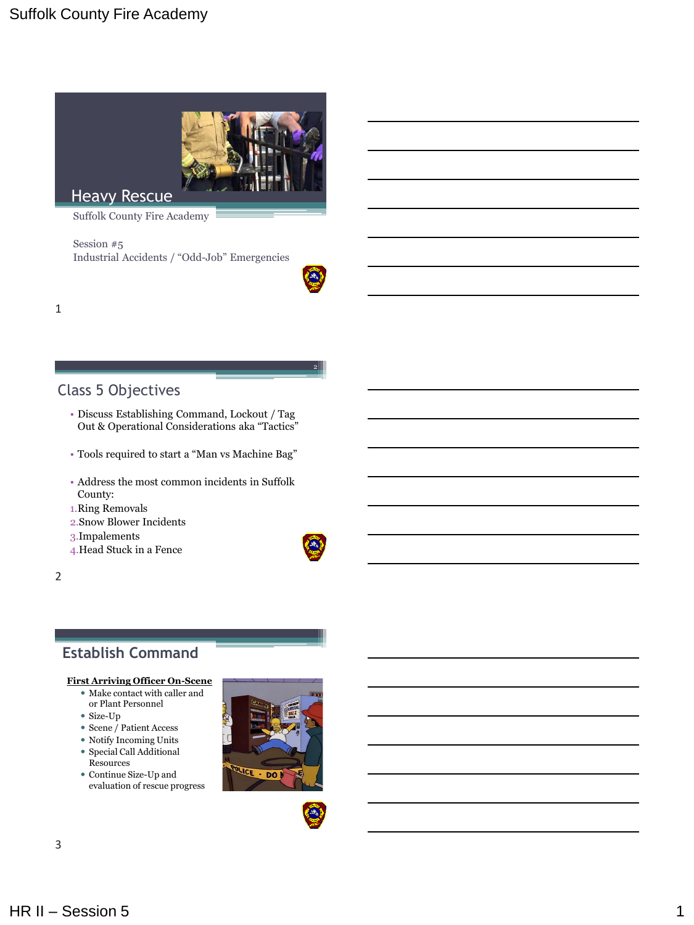

Heavy Rescue

Suffolk County Fire Academy

Session #5 Industrial Accidents / "Odd-Job" Emergencies



2

1

### Class 5 Objectives

- Discuss Establishing Command, Lockout / Tag Out & Operational Considerations aka "Tactics"
- Tools required to start a "Man vs Machine Bag"
- Address the most common incidents in Suffolk County:
- 1.Ring Removals
- 2.Snow Blower Incidents
- 3.Impalements
- 4.Head Stuck in a Fence

2

### **Establish Command**

#### **First Arriving Officer On-Scene**

- Make contact with caller and or Plant Personnel
- Size-Up
- Scene / Patient Access
- Notify Incoming Units
- Special Call Additional Resources
- Continue Size-Up and evaluation of rescue progress



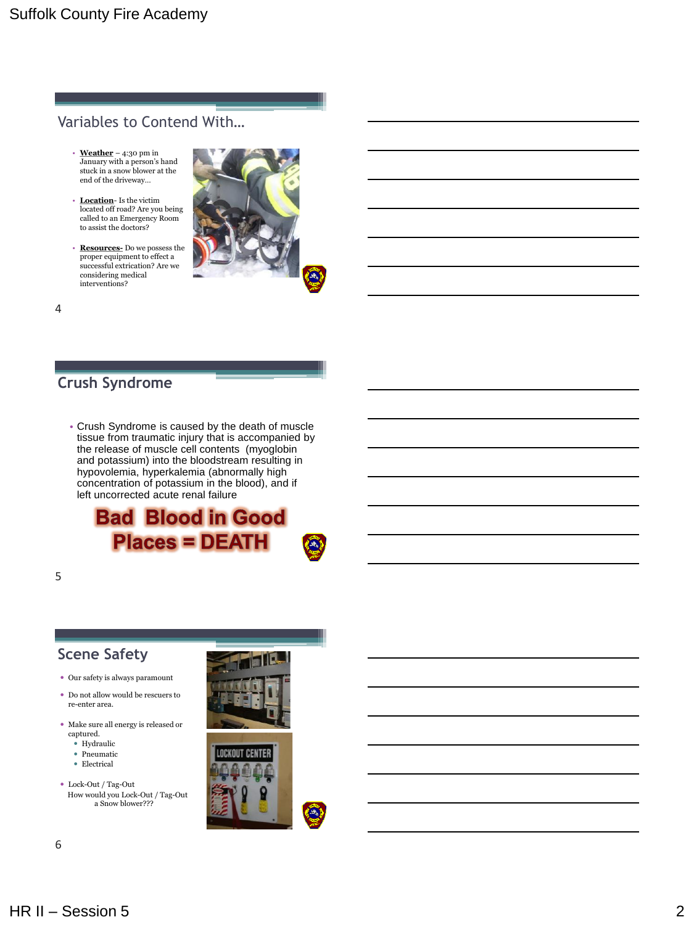### Variables to Contend With…

- **Weather** 4:30 pm in January with a person's hand stuck in a snow blower at the end of the driveway…
- **Location** Is the victim located off road? Are you being called to an Emergency Room to assist the doctors?
- **Resources-** Do we possess the proper equipment to effect a successful extrication? Are we considering medical interventions?



4

### **Crush Syndrome**

• Crush Syndrome is caused by the death of muscle tissue from traumatic injury that is accompanied by the release of muscle cell contents (myoglobin and potassium) into the bloodstream resulting in hypovolemia, hyperkalemia (abnormally high concentration of potassium in the blood), and if left uncorrected acute renal failure

**Bad Blood in Good Places = DEATH** 



## **Scene Safety**

- Our safety is always paramount
- Do not allow would be rescuers to re-enter area.
- Make sure all energy is released or captured.
	- Hydraulic
	- Pneumatic
	- Electrical
- Lock-Out / Tag-Out How would you Lock-Out / Tag-Out a Snow blower???



 $\left( \begin{array}{c} \text{A} \\ \text{B} \end{array} \right)$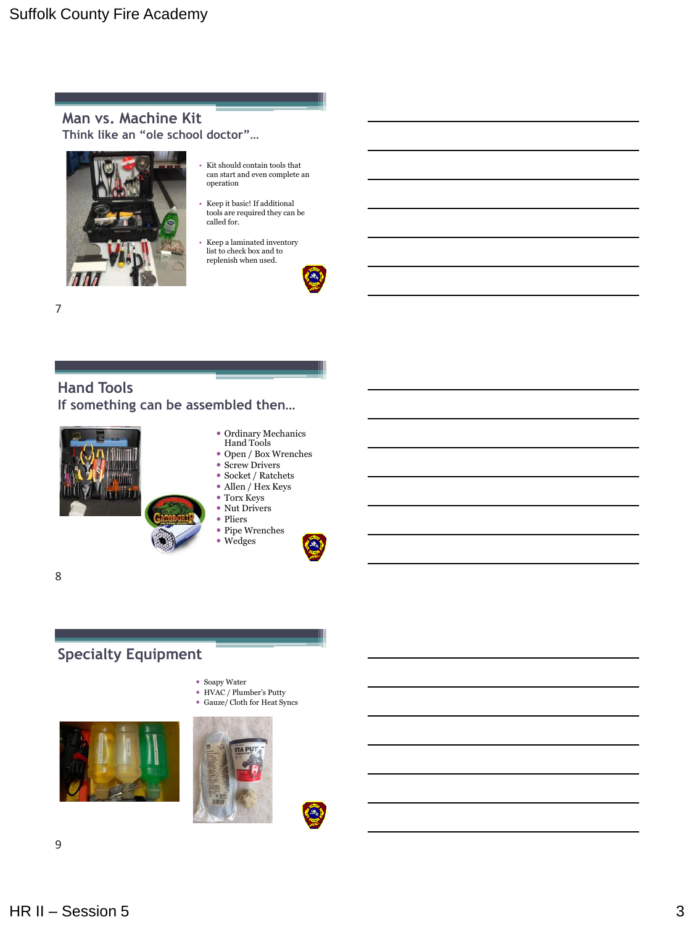**Man vs. Machine Kit Think like an "ole school doctor"…**



- Kit should contain tools that can start and even complete an operation
- Keep it basic! If additional tools are required they can be called for.
- Keep a laminated inventory list to check box and to replenish when used.



**Hand Tools If something can be assembled then…**



- Ordinary Mechanics Hand Tools
- Open / Box Wrenches
- Screw Drivers
- $\bullet$  Socket / Ratchets
- Allen / Hex Keys
- Torx Keys • Nut Drivers
- Pliers

Wedges

Pipe Wrenches



8

7

## **Specialty Equipment**

- Soapy Water
- HVAC / Plumber's Putty
- Gauze/ Cloth for Heat Syncs





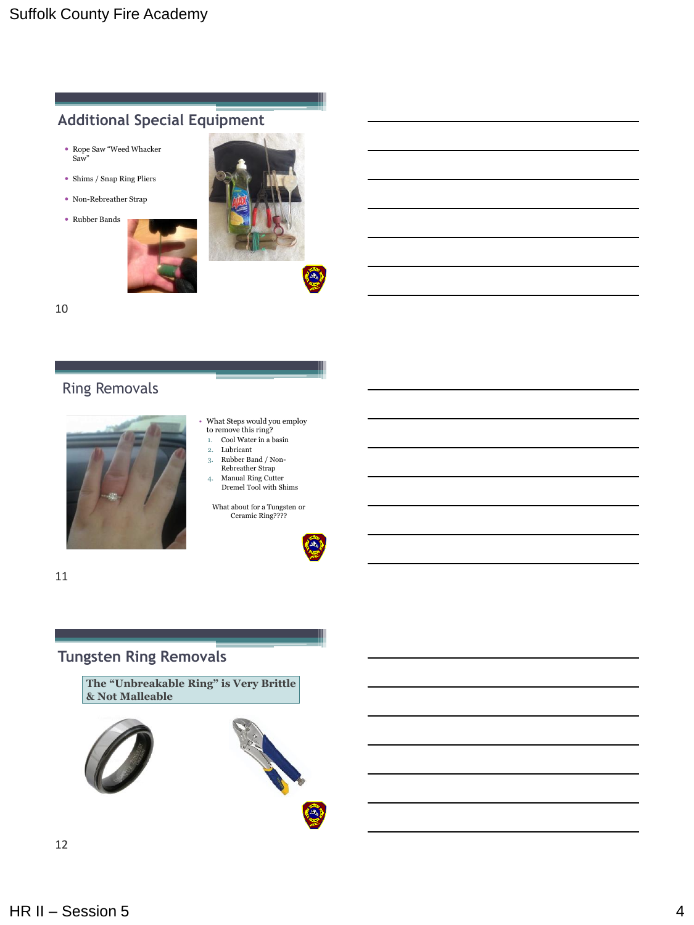# **Additional Special Equipment**

- Rope Saw "Weed Whacker Saw"
- Shims / Snap Ring Pliers
- Non-Rebreather Strap
- Rubber Bands



10

# Ring Removals



- What Steps would you employ to remove this ring?
- 1. Cool Water in a basin
- 2. Lubricant
- 3. Rubber Band / Non-
- Rebreather Strap 4. Manual Ring Cutter
- Dremel Tool with Shims

What about for a Tungsten or Ceramic Ring????



11

### **Tungsten Ring Removals**

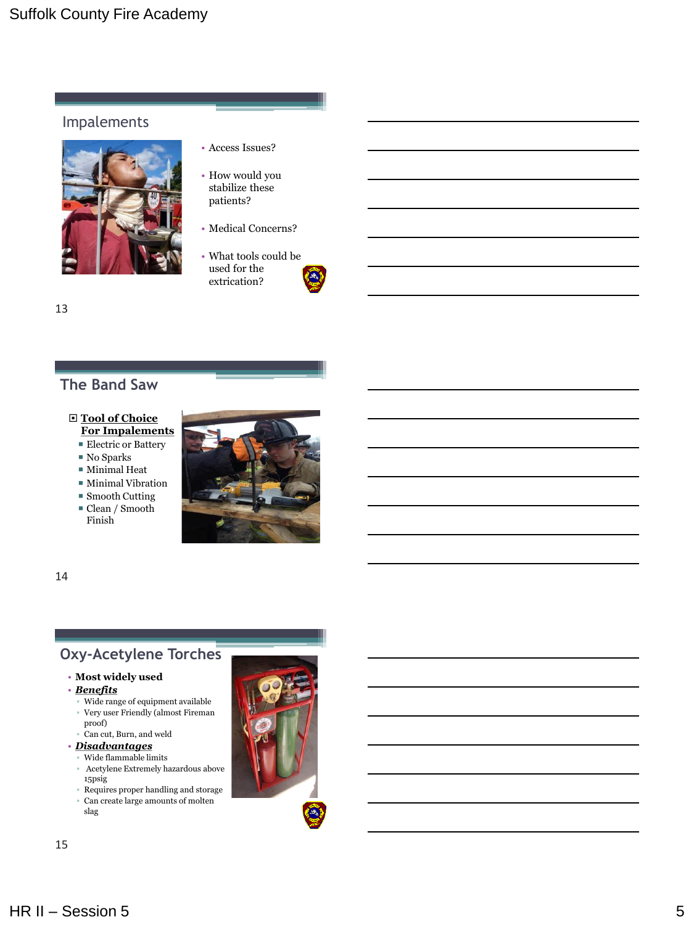### Impalements



- Access Issues?
- How would you stabilize these patients?
- Medical Concerns?
- What tools could be used for the extrication?

#### 13

## **The Band Saw**

### **Tool of Choice**

**For Impalements**

- Electric or Battery
- No Sparks
- $\blacksquare$  Minimal Heat
- $\blacksquare$  <br> Minimal Vibration
- Smooth Cutting
- Clean / Smooth Finish



14

## **Oxy-Acetylene Torches**

#### • **Most widely used**

- *Benefits*
- Wide range of equipment available ▫ Very user Friendly (almost Fireman proof)
- Can cut, Burn, and weld
- *Disadvantages*
	- Wide flammable limits ▫ Acetylene Extremely hazardous above 15psig
	- Requires proper handling and storage
	- Can create large amounts of molten slag

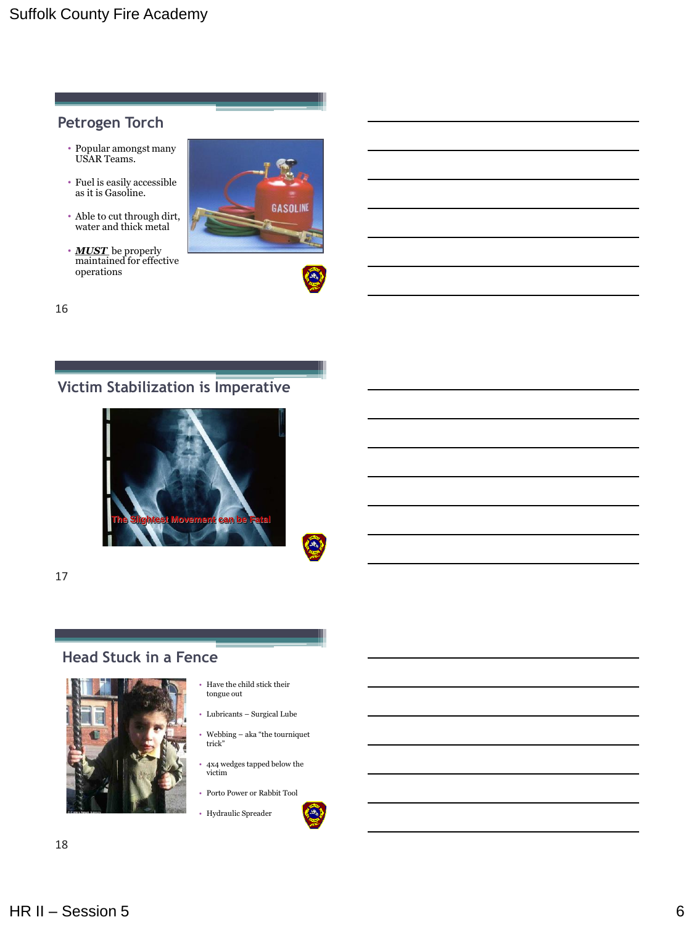### **Petrogen Torch**

- Popular amongst many USAR Teams.
- Fuel is easily accessible as it is Gasoline.
- Able to cut through dirt, water and thick metal
- *MUST* be properly maintained for effective operations





 $\left( 4\right)$ 

16

# **Victim Stabilization is Imperative**



17

## **Head Stuck in a Fence**



- Have the child stick their tongue out
- Lubricants Surgical Lube
- Webbing aka "the tourniquet trick"
- 4x4 wedges tapped below the victim
- Porto Power or Rabbit Tool

• Hydraulic Spreader